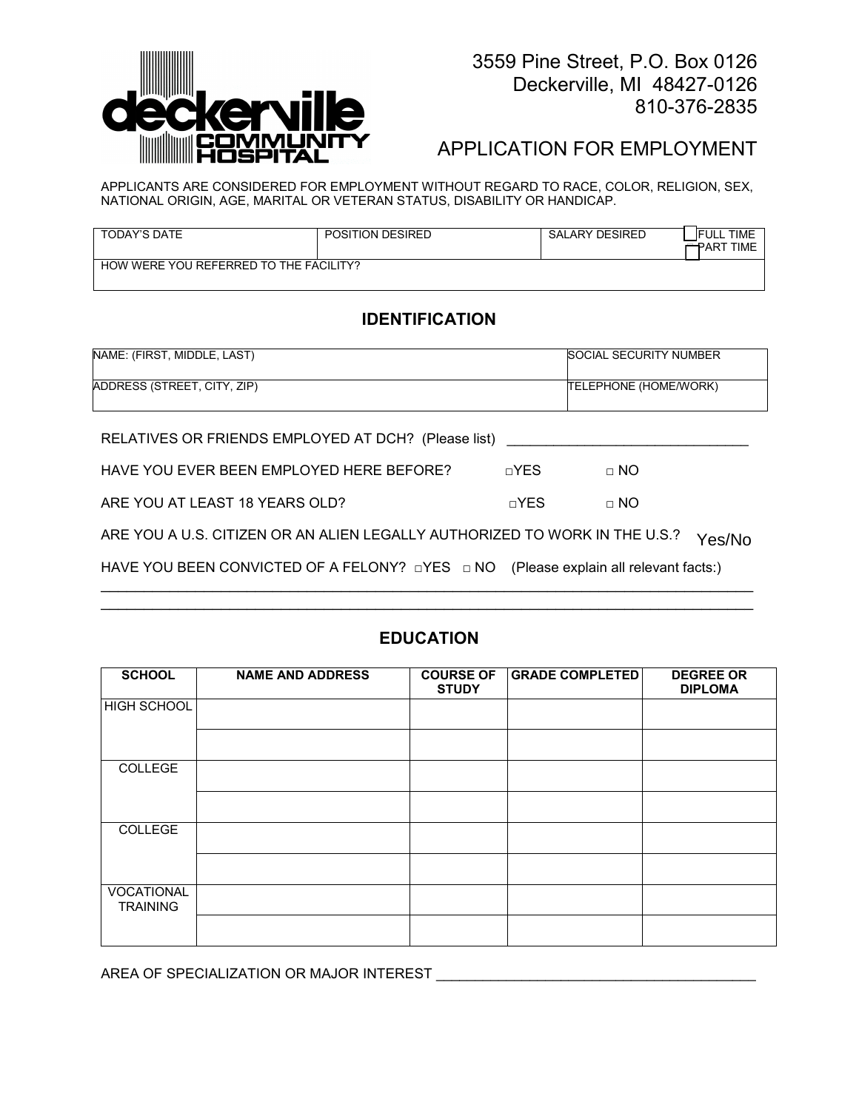

# APPLICATION FOR EMPLOYMENT

APPLICANTS ARE CONSIDERED FOR EMPLOYMENT WITHOUT REGARD TO RACE, COLOR, RELIGION, SEX, NATIONAL ORIGIN, AGE, MARITAL OR VETERAN STATUS, DISABILITY OR HANDICAP.

| TODAY'S DATE                           | POSITION DESIRED | SALARY DESIRED | <b>TIME</b><br><b>IFULL</b><br><b>ΓTPART TIME</b> |
|----------------------------------------|------------------|----------------|---------------------------------------------------|
| HOW WERE YOU REFERRED TO THE FACILITY? |                  |                |                                                   |

# **IDENTIFICATION**

| NAME: (FIRST. MIDDLE. LAST) | SOCIAL SECURITY NUMBER       |
|-----------------------------|------------------------------|
| ADDRESS (STREET, CITY, ZIP) | <b>TELEPHONE (HOME/WORK)</b> |

| RELATIVES OR FRIENDS EMPLOYED AT DCH? (Please list) ____________________________              |            |           |
|-----------------------------------------------------------------------------------------------|------------|-----------|
| HAVE YOU EVER BEEN EMPLOYED HERE BEFORE?                                                      | $\neg$ YFS | $\Box$ NO |
| ARE YOU AT LEAST 18 YEARS OLD?                                                                | $\neg$ YES | $\Box$ NO |
| A DE VOITA HI O LOITIZENTOD ANTALIENTE EO ALI VIALITHODIZED TO MAODIZINTHE HI O QUELLO QUELLO |            |           |

ARE YOU A U.S. CITIZEN OR AN ALIEN LEGALLY AUTHORIZED TO WORK IN THE U.S.?  $\rm ~Yes/No$ 

HAVE YOU BEEN CONVICTED OF A FELONY? □YES □ NO (Please explain all relevant facts:)

## **EDUCATION**

\_\_\_\_\_\_\_\_\_\_\_\_\_\_\_\_\_\_\_\_\_\_\_\_\_\_\_\_\_\_\_\_\_\_\_\_\_\_\_\_\_\_\_\_\_\_\_\_\_\_\_\_\_\_\_\_\_\_\_\_\_\_\_\_\_\_\_\_\_\_\_\_\_\_\_\_ \_\_\_\_\_\_\_\_\_\_\_\_\_\_\_\_\_\_\_\_\_\_\_\_\_\_\_\_\_\_\_\_\_\_\_\_\_\_\_\_\_\_\_\_\_\_\_\_\_\_\_\_\_\_\_\_\_\_\_\_\_\_\_\_\_\_\_\_\_\_\_\_\_\_\_\_

| <b>SCHOOL</b>                 | <b>NAME AND ADDRESS</b> | <b>COURSE OF</b><br><b>STUDY</b> | <b>GRADE COMPLETED</b> | <b>DEGREE OR</b><br><b>DIPLOMA</b> |
|-------------------------------|-------------------------|----------------------------------|------------------------|------------------------------------|
| <b>HIGH SCHOOL</b>            |                         |                                  |                        |                                    |
|                               |                         |                                  |                        |                                    |
| COLLEGE                       |                         |                                  |                        |                                    |
|                               |                         |                                  |                        |                                    |
| COLLEGE                       |                         |                                  |                        |                                    |
|                               |                         |                                  |                        |                                    |
| VOCATIONAL<br><b>TRAINING</b> |                         |                                  |                        |                                    |
|                               |                         |                                  |                        |                                    |

AREA OF SPECIALIZATION OR MAJOR INTEREST **Example 20** and the set of the set of the set of the set of the set of the set of the set of the set of the set of the set of the set of the set of the set of the set of the set of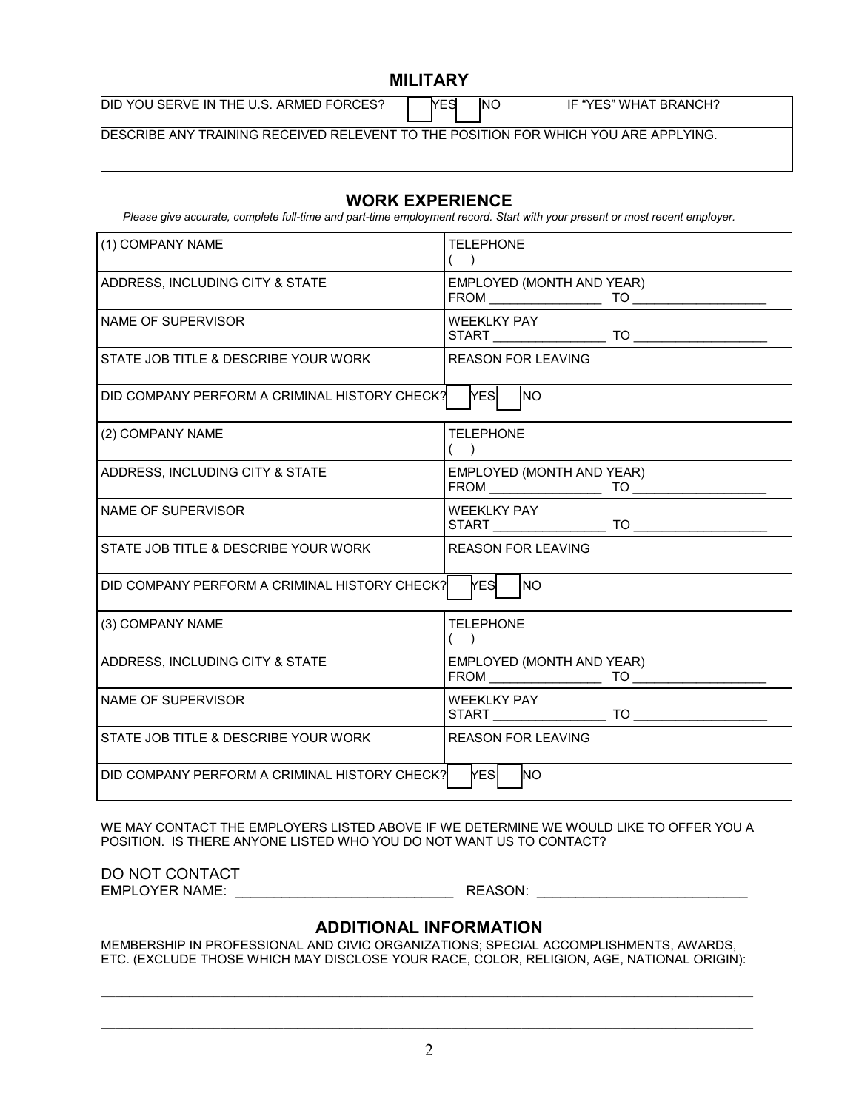## **MILITARY**

DID YOU SERVE IN THE U.S. ARMED FORCES? **THE SET SEE THAT A SET IF "YES" WHAT BRANCH?** 

DESCRIBE ANY TRAINING RECEIVED RELEVENT TO THE POSITION FOR WHICH YOU ARE APPLYING.

## **WORK EXPERIENCE**

*Please give accurate, complete full-time and part-time employment record. Start with your present or most recent employer.* 

| (1) COMPANY NAME                              | <b>TELEPHONE</b><br>$\rightarrow$                                                                                                                                                                                                     |
|-----------------------------------------------|---------------------------------------------------------------------------------------------------------------------------------------------------------------------------------------------------------------------------------------|
| ADDRESS, INCLUDING CITY & STATE               | EMPLOYED (MONTH AND YEAR)<br>${\sf FROM} \begin{tabular}{ c c c c } \hline & & & \multicolumn{3}{ c }{\text{TO}} \\\hline \end{tabular} \begin{tabular}{ c c c c } \hline & & \multicolumn{3}{ c }{\text{TO}} \\\hline \end{tabular}$ |
| NAME OF SUPERVISOR                            | WEEKLKY PAY                                                                                                                                                                                                                           |
| STATE JOB TITLE & DESCRIBE YOUR WORK          | <b>REASON FOR LEAVING</b>                                                                                                                                                                                                             |
| DID COMPANY PERFORM A CRIMINAL HISTORY CHECK? | YESİ<br><b>NO</b>                                                                                                                                                                                                                     |
| (2) COMPANY NAME                              | <b>TELEPHONE</b><br>$($ )                                                                                                                                                                                                             |
| ADDRESS, INCLUDING CITY & STATE               | EMPLOYED (MONTH AND YEAR)                                                                                                                                                                                                             |
| NAME OF SUPERVISOR                            | <b>WEEKLKY PAY</b>                                                                                                                                                                                                                    |
| STATE JOB TITLE & DESCRIBE YOUR WORK          | <b>REASON FOR LEAVING</b>                                                                                                                                                                                                             |
| DID COMPANY PERFORM A CRIMINAL HISTORY CHECK? | <b>YES</b> NO                                                                                                                                                                                                                         |
| (3) COMPANY NAME                              | <b>TELEPHONE</b>                                                                                                                                                                                                                      |
| ADDRESS, INCLUDING CITY & STATE               | EMPLOYED (MONTH AND YEAR)<br>$TO \longrightarrow$                                                                                                                                                                                     |
| NAME OF SUPERVISOR                            |                                                                                                                                                                                                                                       |
| STATE JOB TITLE & DESCRIBE YOUR WORK          | <b>REASON FOR LEAVING</b>                                                                                                                                                                                                             |
| DID COMPANY PERFORM A CRIMINAL HISTORY CHECK? | <b>YESI</b><br><b>NO</b>                                                                                                                                                                                                              |

WE MAY CONTACT THE EMPLOYERS LISTED ABOVE IF WE DETERMINE WE WOULD LIKE TO OFFER YOU A POSITION. IS THERE ANYONE LISTED WHO YOU DO NOT WANT US TO CONTACT?

DO NOT CONTACT EMPLOYER NAME: \_\_\_\_\_\_\_\_\_\_\_\_\_\_\_\_\_\_\_\_\_\_\_\_\_\_\_\_ REASON: \_\_\_\_\_\_\_\_\_\_\_\_\_\_\_\_\_\_\_\_\_\_\_\_\_\_\_

## **ADDITIONAL INFORMATION**

MEMBERSHIP IN PROFESSIONAL AND CIVIC ORGANIZATIONS; SPECIAL ACCOMPLISHMENTS, AWARDS, ETC. (EXCLUDE THOSE WHICH MAY DISCLOSE YOUR RACE, COLOR, RELIGION, AGE, NATIONAL ORIGIN):

 $\mathcal{L}_\mathcal{L} = \{ \mathcal{L}_\mathcal{L} = \{ \mathcal{L}_\mathcal{L} = \{ \mathcal{L}_\mathcal{L} = \{ \mathcal{L}_\mathcal{L} = \{ \mathcal{L}_\mathcal{L} = \{ \mathcal{L}_\mathcal{L} = \{ \mathcal{L}_\mathcal{L} = \{ \mathcal{L}_\mathcal{L} = \{ \mathcal{L}_\mathcal{L} = \{ \mathcal{L}_\mathcal{L} = \{ \mathcal{L}_\mathcal{L} = \{ \mathcal{L}_\mathcal{L} = \{ \mathcal{L}_\mathcal{L} = \{ \mathcal{L}_\mathcal{$ 

 $\mathcal{L}_\mathcal{L} = \{ \mathcal{L}_\mathcal{L} = \{ \mathcal{L}_\mathcal{L} = \{ \mathcal{L}_\mathcal{L} = \{ \mathcal{L}_\mathcal{L} = \{ \mathcal{L}_\mathcal{L} = \{ \mathcal{L}_\mathcal{L} = \{ \mathcal{L}_\mathcal{L} = \{ \mathcal{L}_\mathcal{L} = \{ \mathcal{L}_\mathcal{L} = \{ \mathcal{L}_\mathcal{L} = \{ \mathcal{L}_\mathcal{L} = \{ \mathcal{L}_\mathcal{L} = \{ \mathcal{L}_\mathcal{L} = \{ \mathcal{L}_\mathcal{$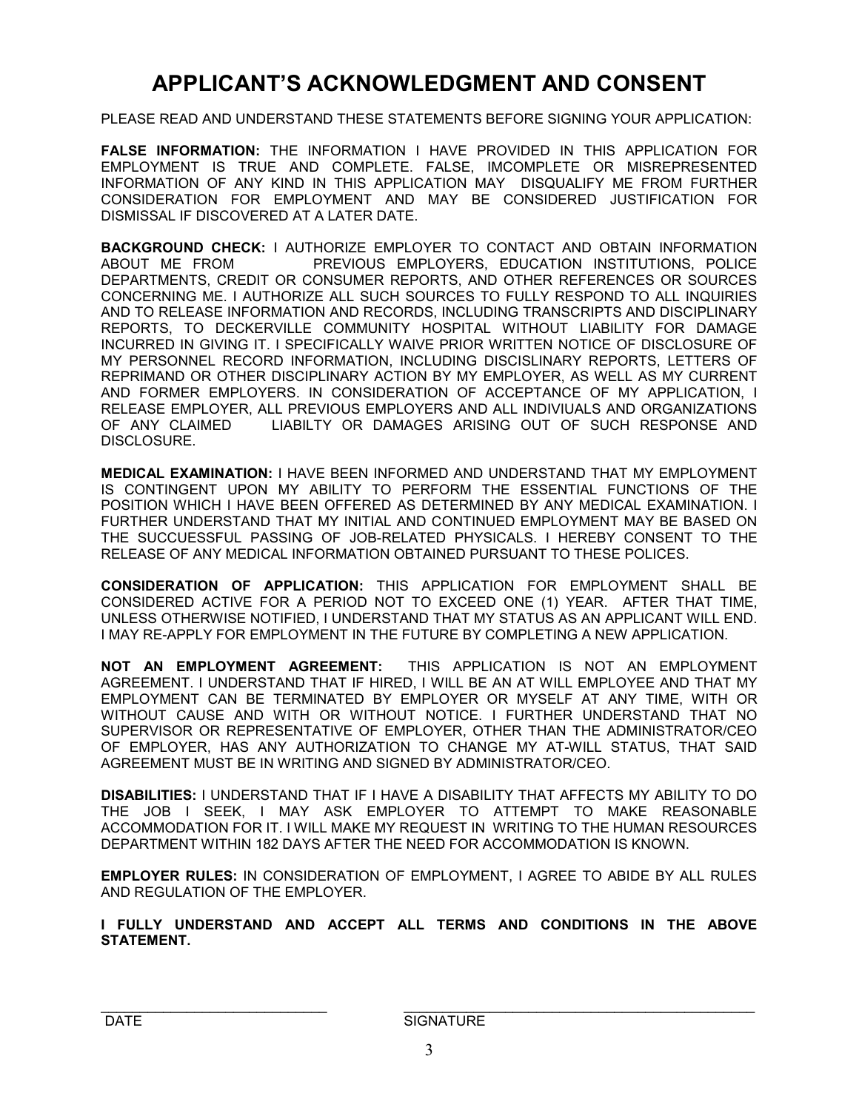# **APPLICANT'S ACKNOWLEDGMENT AND CONSENT**

PLEASE READ AND UNDERSTAND THESE STATEMENTS BEFORE SIGNING YOUR APPLICATION:

**FALSE INFORMATION:** THE INFORMATION I HAVE PROVIDED IN THIS APPLICATION FOR EMPLOYMENT IS TRUE AND COMPLETE. FALSE, IMCOMPLETE OR MISREPRESENTED INFORMATION OF ANY KIND IN THIS APPLICATION MAY DISQUALIFY ME FROM FURTHER CONSIDERATION FOR EMPLOYMENT AND MAY BE CONSIDERED JUSTIFICATION FOR DISMISSAL IF DISCOVERED AT A LATER DATE.

**BACKGROUND CHECK:** I AUTHORIZE EMPLOYER TO CONTACT AND OBTAIN INFORMATION ABOUT ME FROM PREVIOUS EMPLOYERS, EDUCATION INSTITUTIONS, POLICE DEPARTMENTS, CREDIT OR CONSUMER REPORTS, AND OTHER REFERENCES OR SOURCES CONCERNING ME. I AUTHORIZE ALL SUCH SOURCES TO FULLY RESPOND TO ALL INQUIRIES AND TO RELEASE INFORMATION AND RECORDS, INCLUDING TRANSCRIPTS AND DISCIPLINARY REPORTS, TO DECKERVILLE COMMUNITY HOSPITAL WITHOUT LIABILITY FOR DAMAGE INCURRED IN GIVING IT. I SPECIFICALLY WAIVE PRIOR WRITTEN NOTICE OF DISCLOSURE OF MY PERSONNEL RECORD INFORMATION, INCLUDING DISCISLINARY REPORTS, LETTERS OF REPRIMAND OR OTHER DISCIPLINARY ACTION BY MY EMPLOYER, AS WELL AS MY CURRENT AND FORMER EMPLOYERS. IN CONSIDERATION OF ACCEPTANCE OF MY APPLICATION, I RELEASE EMPLOYER, ALL PREVIOUS EMPLOYERS AND ALL INDIVIUALS AND ORGANIZATIONS OF ANY CLAIMED LIABILTY OR DAMAGES ARISING OUT OF SUCH RESPONSE AND DISCLOSURE.

**MEDICAL EXAMINATION:** I HAVE BEEN INFORMED AND UNDERSTAND THAT MY EMPLOYMENT IS CONTINGENT UPON MY ABILITY TO PERFORM THE ESSENTIAL FUNCTIONS OF THE POSITION WHICH I HAVE BEEN OFFERED AS DETERMINED BY ANY MEDICAL EXAMINATION. I FURTHER UNDERSTAND THAT MY INITIAL AND CONTINUED EMPLOYMENT MAY BE BASED ON THE SUCCUESSFUL PASSING OF JOB-RELATED PHYSICALS. I HEREBY CONSENT TO THE RELEASE OF ANY MEDICAL INFORMATION OBTAINED PURSUANT TO THESE POLICES.

**CONSIDERATION OF APPLICATION:** THIS APPLICATION FOR EMPLOYMENT SHALL BE CONSIDERED ACTIVE FOR A PERIOD NOT TO EXCEED ONE (1) YEAR. AFTER THAT TIME, UNLESS OTHERWISE NOTIFIED, I UNDERSTAND THAT MY STATUS AS AN APPLICANT WILL END. I MAY RE-APPLY FOR EMPLOYMENT IN THE FUTURE BY COMPLETING A NEW APPLICATION.

**NOT AN EMPLOYMENT AGREEMENT:** THIS APPLICATION IS NOT AN EMPLOYMENT AGREEMENT. I UNDERSTAND THAT IF HIRED, I WILL BE AN AT WILL EMPLOYEE AND THAT MY EMPLOYMENT CAN BE TERMINATED BY EMPLOYER OR MYSELF AT ANY TIME, WITH OR WITHOUT CAUSE AND WITH OR WITHOUT NOTICE. I FURTHER UNDERSTAND THAT NO SUPERVISOR OR REPRESENTATIVE OF EMPLOYER, OTHER THAN THE ADMINISTRATOR/CEO OF EMPLOYER, HAS ANY AUTHORIZATION TO CHANGE MY AT-WILL STATUS, THAT SAID AGREEMENT MUST BE IN WRITING AND SIGNED BY ADMINISTRATOR/CEO.

**DISABILITIES:** I UNDERSTAND THAT IF I HAVE A DISABILITY THAT AFFECTS MY ABILITY TO DO THE JOB I SEEK, I MAY ASK EMPLOYER TO ATTEMPT TO MAKE REASONABLE ACCOMMODATION FOR IT. I WILL MAKE MY REQUEST IN WRITING TO THE HUMAN RESOURCES DEPARTMENT WITHIN 182 DAYS AFTER THE NEED FOR ACCOMMODATION IS KNOWN.

**EMPLOYER RULES:** IN CONSIDERATION OF EMPLOYMENT, I AGREE TO ABIDE BY ALL RULES AND REGULATION OF THE EMPLOYER.

**I FULLY UNDERSTAND AND ACCEPT ALL TERMS AND CONDITIONS IN THE ABOVE STATEMENT.**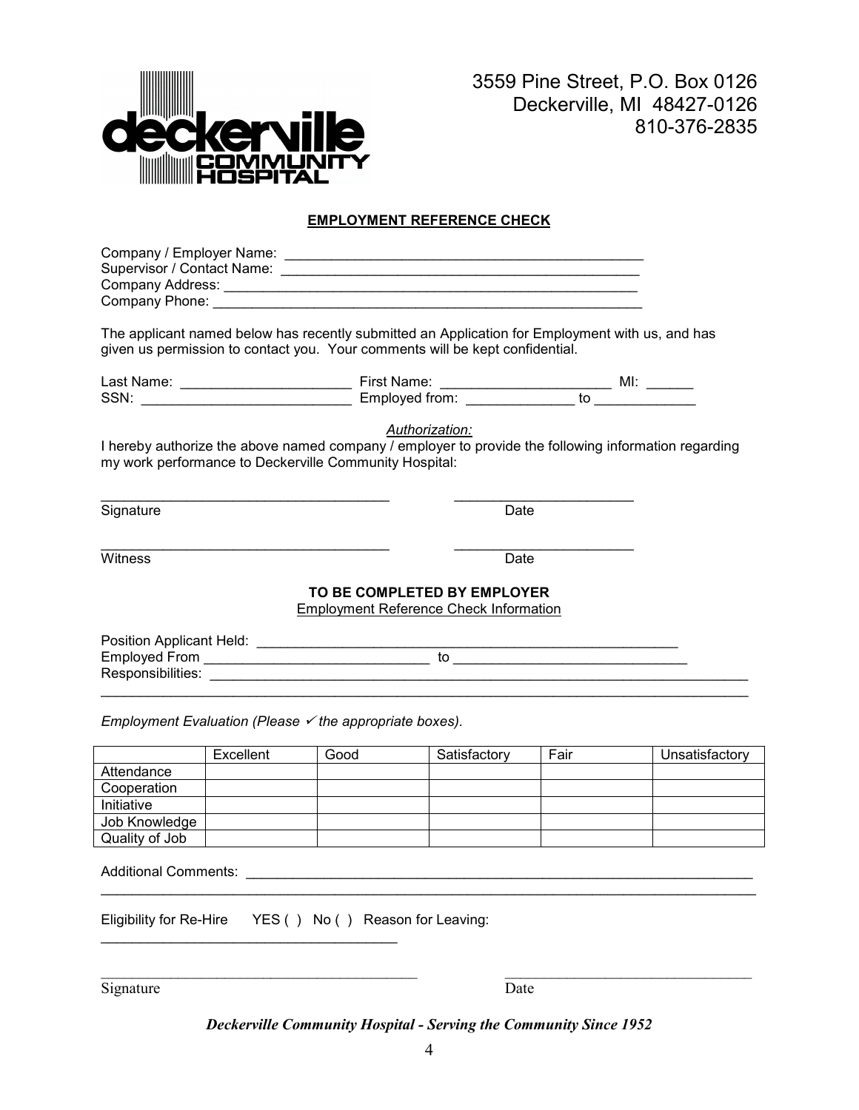

3559 Pine Street, P.O. Box 0126 Deckerville, MI 48427-0126 810-376-2835

## **EMPLOYMENT REFERENCE CHECK**

| Company / Employer Name:   |  |
|----------------------------|--|
| Supervisor / Contact Name: |  |
| Company Address:           |  |
| Company Phone:             |  |

The applicant named below has recently submitted an Application for Employment with us, and has given us permission to contact you. Your comments will be kept confidential.

| Last Name: | First Name:    | MI. |
|------------|----------------|-----|
| SSN.       | Emploved from: | τc  |

\_\_\_\_\_\_\_\_\_\_\_\_\_\_\_\_\_\_\_\_\_\_\_\_\_\_\_\_\_\_\_\_\_\_\_\_\_ \_\_\_\_\_\_\_\_\_\_\_\_\_\_\_\_\_\_\_\_\_\_\_

*Authorization:*

I hereby authorize the above named company / employer to provide the following information regarding my work performance to Deckerville Community Hospital:

Signature Date

\_\_\_\_\_\_\_\_\_\_\_\_\_\_\_\_\_\_\_\_\_\_\_\_\_\_\_\_\_\_\_\_\_\_\_\_\_ \_\_\_\_\_\_\_\_\_\_\_\_\_\_\_\_\_\_\_\_\_\_\_ Witness Date

#### **TO BE COMPLETED BY EMPLOYER**

Employment Reference Check Information

| Position Applicant Held: |  |
|--------------------------|--|
| Employed From            |  |
| Responsibilities:        |  |
|                          |  |

*Employment Evaluation (Please √ the appropriate boxes).* 

|                | Excellent | Good | Satisfactory | Fair | Unsatisfactory |
|----------------|-----------|------|--------------|------|----------------|
| Attendance     |           |      |              |      |                |
| Cooperation    |           |      |              |      |                |
| Initiative     |           |      |              |      |                |
| Job Knowledge  |           |      |              |      |                |
| Quality of Job |           |      |              |      |                |

\_\_\_\_\_\_\_\_\_\_\_\_\_\_\_\_\_\_\_\_\_\_\_\_\_\_\_\_\_\_\_\_\_\_\_\_\_\_\_\_\_\_\_\_\_\_\_\_\_\_\_\_\_\_\_\_\_\_\_\_\_\_\_\_\_\_\_\_\_\_\_\_\_\_\_\_\_\_\_\_\_\_\_\_

Additional Comments: \_

Eligibility for Re-Hire YES ( ) No ( ) Reason for Leaving:

\_\_\_\_\_\_\_\_\_\_\_\_\_\_\_\_\_\_\_\_\_\_\_\_\_\_\_\_\_\_\_\_\_\_\_\_\_\_

Signature Date

*Deckerville Community Hospital - Serving the Community Since 1952* 

\_\_\_\_\_\_\_\_\_\_\_\_\_\_\_\_\_\_\_\_\_\_\_\_\_\_\_\_\_\_\_\_\_\_\_\_\_\_\_\_\_ \_\_\_\_\_\_\_\_\_\_\_\_\_\_\_\_\_\_\_\_\_\_\_\_\_\_\_\_\_\_\_\_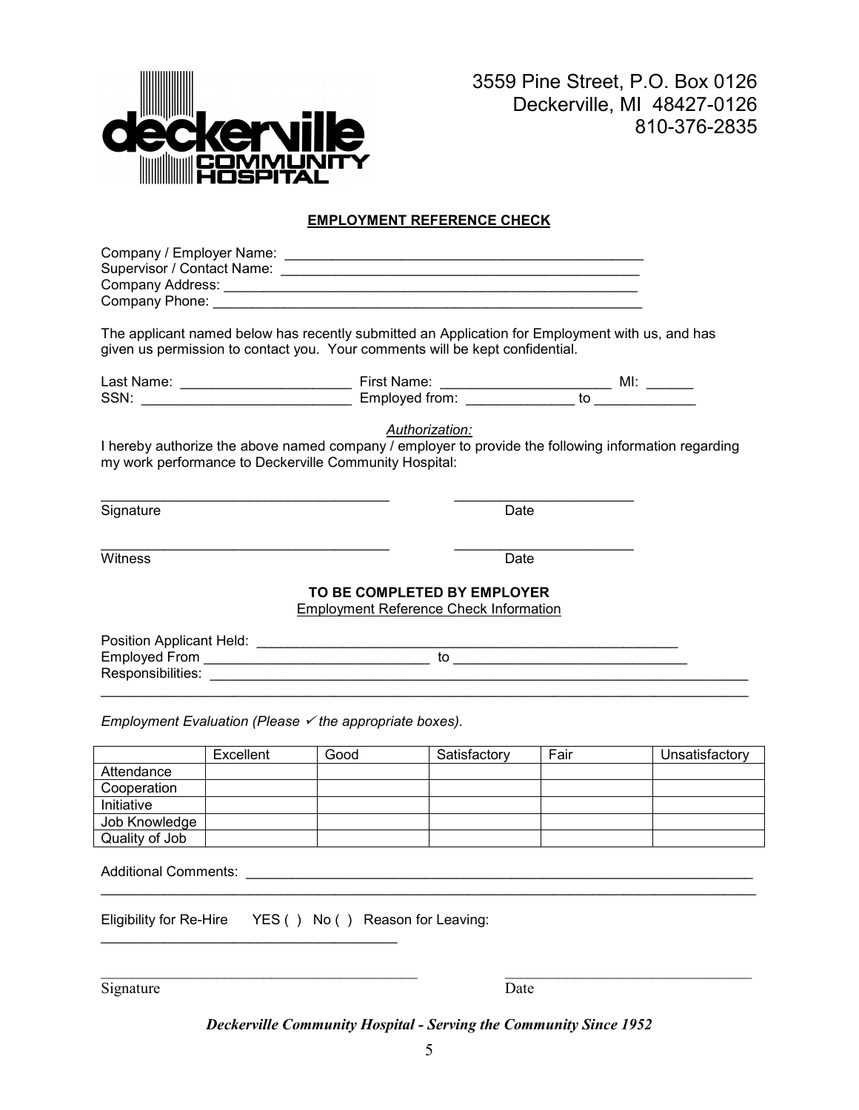

3559 Pine Street, P.O. Box 0126 Deckerville, MI 48427-0126 810-376-2835

## **EMPLOYMENT REFERENCE CHECK**

| Company / Employer Name:   |  |
|----------------------------|--|
| Supervisor / Contact Name: |  |
| Company Address:           |  |
| Company Phone:             |  |

The applicant named below has recently submitted an Application for Employment with us, and has given us permission to contact you. Your comments will be kept confidential.

| Last Name: | First Name:    | MI. |
|------------|----------------|-----|
| SSN.       | Emploved from: | τc  |

\_\_\_\_\_\_\_\_\_\_\_\_\_\_\_\_\_\_\_\_\_\_\_\_\_\_\_\_\_\_\_\_\_\_\_\_\_ \_\_\_\_\_\_\_\_\_\_\_\_\_\_\_\_\_\_\_\_\_\_\_

*Authorization:*

I hereby authorize the above named company / employer to provide the following information regarding my work performance to Deckerville Community Hospital:

Signature Date

\_\_\_\_\_\_\_\_\_\_\_\_\_\_\_\_\_\_\_\_\_\_\_\_\_\_\_\_\_\_\_\_\_\_\_\_\_ \_\_\_\_\_\_\_\_\_\_\_\_\_\_\_\_\_\_\_\_\_\_\_ Witness Date

#### **TO BE COMPLETED BY EMPLOYER**

Employment Reference Check Information

| Position Applicant Held: |  |
|--------------------------|--|
| Employed From            |  |
| Responsibilities:        |  |
|                          |  |

*Employment Evaluation (Please √ the appropriate boxes).* 

|                | Excellent | Good | Satisfactory | Fair | Unsatisfactory |
|----------------|-----------|------|--------------|------|----------------|
| Attendance     |           |      |              |      |                |
| Cooperation    |           |      |              |      |                |
| Initiative     |           |      |              |      |                |
| Job Knowledge  |           |      |              |      |                |
| Quality of Job |           |      |              |      |                |

\_\_\_\_\_\_\_\_\_\_\_\_\_\_\_\_\_\_\_\_\_\_\_\_\_\_\_\_\_\_\_\_\_\_\_\_\_\_\_\_\_\_\_\_\_\_\_\_\_\_\_\_\_\_\_\_\_\_\_\_\_\_\_\_\_\_\_\_\_\_\_\_\_\_\_\_\_\_\_\_\_\_\_\_

Additional Comments: \_

Eligibility for Re-Hire YES ( ) No ( ) Reason for Leaving:

\_\_\_\_\_\_\_\_\_\_\_\_\_\_\_\_\_\_\_\_\_\_\_\_\_\_\_\_\_\_\_\_\_\_\_\_\_\_

Signature Date

*Deckerville Community Hospital - Serving the Community Since 1952* 

\_\_\_\_\_\_\_\_\_\_\_\_\_\_\_\_\_\_\_\_\_\_\_\_\_\_\_\_\_\_\_\_\_\_\_\_\_\_\_\_\_ \_\_\_\_\_\_\_\_\_\_\_\_\_\_\_\_\_\_\_\_\_\_\_\_\_\_\_\_\_\_\_\_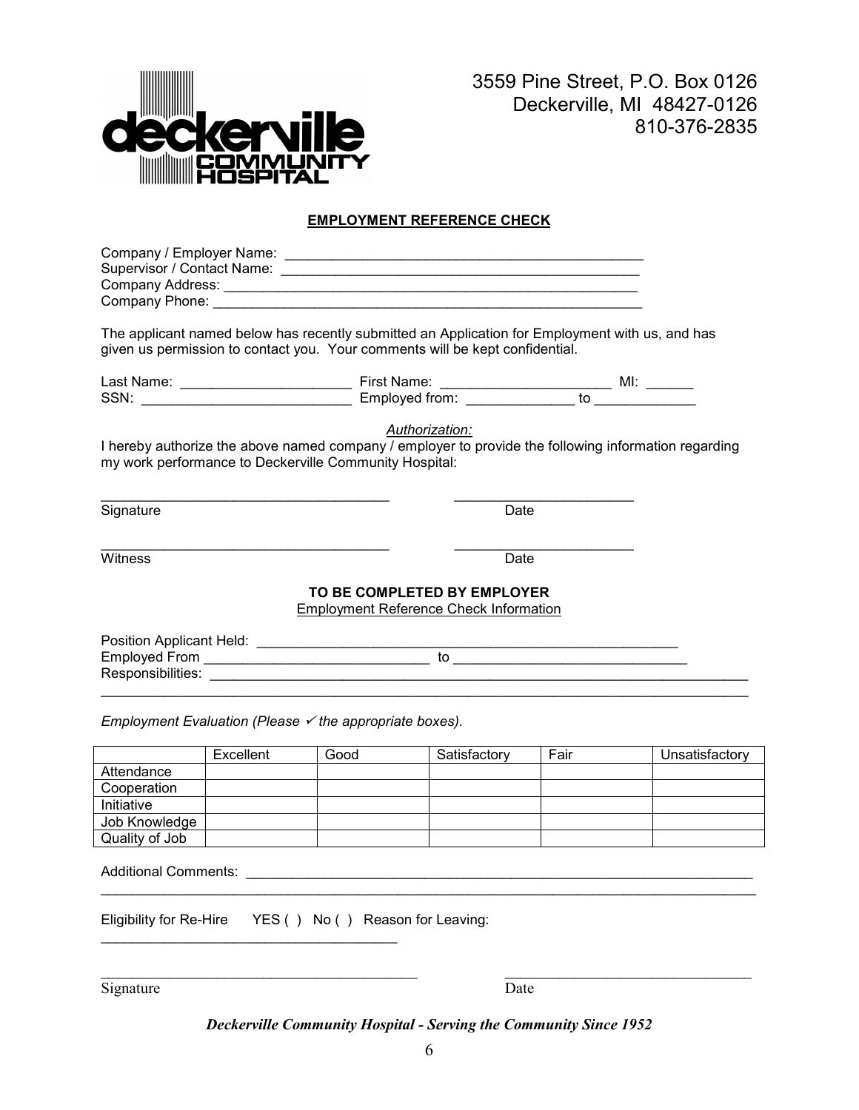

3559 Pine Street, P.O. Box 0126 Deckerville, MI 48427-0126 810-376-2835

## **EMPLOYMENT REFERENCE CHECK**

| Company / Employer Name:   |  |
|----------------------------|--|
| Supervisor / Contact Name: |  |
| Company Address:           |  |
| Company Phone:             |  |

The applicant named below has recently submitted an Application for Employment with us, and has given us permission to contact you. Your comments will be kept confidential.

| Last Name: | First Name:    |    | MI. |
|------------|----------------|----|-----|
| SSN.       | Emploved from: | τc |     |

\_\_\_\_\_\_\_\_\_\_\_\_\_\_\_\_\_\_\_\_\_\_\_\_\_\_\_\_\_\_\_\_\_\_\_\_\_ \_\_\_\_\_\_\_\_\_\_\_\_\_\_\_\_\_\_\_\_\_\_\_

*Authorization:*

I hereby authorize the above named company / employer to provide the following information regarding my work performance to Deckerville Community Hospital:

Signature Date

\_\_\_\_\_\_\_\_\_\_\_\_\_\_\_\_\_\_\_\_\_\_\_\_\_\_\_\_\_\_\_\_\_\_\_\_\_ \_\_\_\_\_\_\_\_\_\_\_\_\_\_\_\_\_\_\_\_\_\_\_ Witness Date

#### **TO BE COMPLETED BY EMPLOYER**

Employment Reference Check Information

| Position Applicant Held: |  |
|--------------------------|--|
| <b>Employed From</b>     |  |
| Responsibilities:        |  |

\_\_\_\_\_\_\_\_\_\_\_\_\_\_\_\_\_\_\_\_\_\_\_\_\_\_\_\_\_\_\_\_\_\_\_\_\_\_\_\_\_\_\_\_\_\_\_\_\_\_\_\_\_\_\_\_\_\_\_\_\_\_\_\_\_\_\_\_\_\_\_\_\_\_\_\_\_\_\_\_\_\_\_

*Employment Evaluation (Please √ the appropriate boxes).* 

|                | Excellent | Good | Satisfactory | Fair | Unsatisfactory |
|----------------|-----------|------|--------------|------|----------------|
| Attendance     |           |      |              |      |                |
| Cooperation    |           |      |              |      |                |
| Initiative     |           |      |              |      |                |
| Job Knowledge  |           |      |              |      |                |
| Quality of Job |           |      |              |      |                |

\_\_\_\_\_\_\_\_\_\_\_\_\_\_\_\_\_\_\_\_\_\_\_\_\_\_\_\_\_\_\_\_\_\_\_\_\_\_\_\_\_\_\_\_\_\_\_\_\_\_\_\_\_\_\_\_\_\_\_\_\_\_\_\_\_\_\_\_\_\_\_\_\_\_\_\_\_\_\_\_\_\_\_\_

Additional Comments: \_

Eligibility for Re-Hire YES ( ) No ( ) Reason for Leaving:

\_\_\_\_\_\_\_\_\_\_\_\_\_\_\_\_\_\_\_\_\_\_\_\_\_\_\_\_\_\_\_\_\_\_\_\_\_\_

Signature Date

*Deckerville Community Hospital - Serving the Community Since 1952* 

\_\_\_\_\_\_\_\_\_\_\_\_\_\_\_\_\_\_\_\_\_\_\_\_\_\_\_\_\_\_\_\_\_\_\_\_\_\_\_\_\_ \_\_\_\_\_\_\_\_\_\_\_\_\_\_\_\_\_\_\_\_\_\_\_\_\_\_\_\_\_\_\_\_